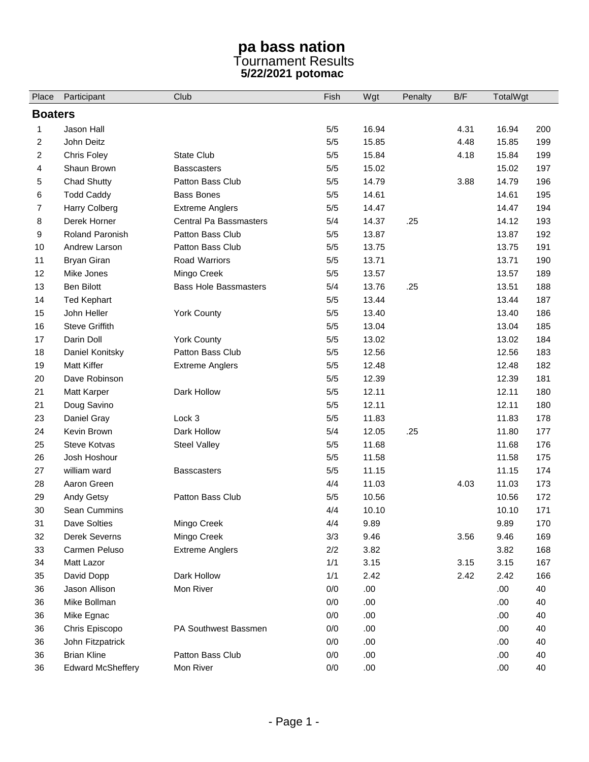## **pa bass nation**  Tournament Results **5/22/2021 potomac**

| Place          | Participant              | Club                         | Fish  | Wgt   | Penalty | B/F  | TotalWgt |     |  |  |
|----------------|--------------------------|------------------------------|-------|-------|---------|------|----------|-----|--|--|
| <b>Boaters</b> |                          |                              |       |       |         |      |          |     |  |  |
| 1              | Jason Hall               |                              | 5/5   | 16.94 |         | 4.31 | 16.94    | 200 |  |  |
| 2              | John Deitz               |                              | $5/5$ | 15.85 |         | 4.48 | 15.85    | 199 |  |  |
| $\overline{2}$ | Chris Foley              | <b>State Club</b>            | 5/5   | 15.84 |         | 4.18 | 15.84    | 199 |  |  |
| 4              | Shaun Brown              | <b>Basscasters</b>           | 5/5   | 15.02 |         |      | 15.02    | 197 |  |  |
| 5              | <b>Chad Shutty</b>       | Patton Bass Club             | $5/5$ | 14.79 |         | 3.88 | 14.79    | 196 |  |  |
| 6              | <b>Todd Caddy</b>        | <b>Bass Bones</b>            | 5/5   | 14.61 |         |      | 14.61    | 195 |  |  |
| 7              | Harry Colberg            | <b>Extreme Anglers</b>       | $5/5$ | 14.47 |         |      | 14.47    | 194 |  |  |
| 8              | Derek Horner             | Central Pa Bassmasters       | 5/4   | 14.37 | .25     |      | 14.12    | 193 |  |  |
| 9              | Roland Paronish          | Patton Bass Club             | 5/5   | 13.87 |         |      | 13.87    | 192 |  |  |
| 10             | Andrew Larson            | Patton Bass Club             | 5/5   | 13.75 |         |      | 13.75    | 191 |  |  |
| 11             | <b>Bryan Giran</b>       | Road Warriors                | $5/5$ | 13.71 |         |      | 13.71    | 190 |  |  |
| 12             | Mike Jones               | Mingo Creek                  | $5/5$ | 13.57 |         |      | 13.57    | 189 |  |  |
| 13             | <b>Ben Bilott</b>        | <b>Bass Hole Bassmasters</b> | 5/4   | 13.76 | .25     |      | 13.51    | 188 |  |  |
| 14             | <b>Ted Kephart</b>       |                              | $5/5$ | 13.44 |         |      | 13.44    | 187 |  |  |
| 15             | John Heller              | <b>York County</b>           | 5/5   | 13.40 |         |      | 13.40    | 186 |  |  |
| 16             | <b>Steve Griffith</b>    |                              | $5/5$ | 13.04 |         |      | 13.04    | 185 |  |  |
| 17             | Darin Doll               | <b>York County</b>           | 5/5   | 13.02 |         |      | 13.02    | 184 |  |  |
| 18             | Daniel Konitsky          | Patton Bass Club             | $5/5$ | 12.56 |         |      | 12.56    | 183 |  |  |
| 19             | <b>Matt Kiffer</b>       | <b>Extreme Anglers</b>       | $5/5$ | 12.48 |         |      | 12.48    | 182 |  |  |
| 20             | Dave Robinson            |                              | $5/5$ | 12.39 |         |      | 12.39    | 181 |  |  |
| 21             | <b>Matt Karper</b>       | Dark Hollow                  | $5/5$ | 12.11 |         |      | 12.11    | 180 |  |  |
| 21             | Doug Savino              |                              | $5/5$ | 12.11 |         |      | 12.11    | 180 |  |  |
| 23             | Daniel Gray              | Lock 3                       | $5/5$ | 11.83 |         |      | 11.83    | 178 |  |  |
| 24             | Kevin Brown              | Dark Hollow                  | 5/4   | 12.05 | .25     |      | 11.80    | 177 |  |  |
| 25             | <b>Steve Kotvas</b>      | <b>Steel Valley</b>          | $5/5$ | 11.68 |         |      | 11.68    | 176 |  |  |
| 26             | Josh Hoshour             |                              | $5/5$ | 11.58 |         |      | 11.58    | 175 |  |  |
| 27             | william ward             | <b>Basscasters</b>           | $5/5$ | 11.15 |         |      | 11.15    | 174 |  |  |
| 28             | Aaron Green              |                              | 4/4   | 11.03 |         | 4.03 | 11.03    | 173 |  |  |
| 29             | Andy Getsy               | Patton Bass Club             | $5/5$ | 10.56 |         |      | 10.56    | 172 |  |  |
| 30             | Sean Cummins             |                              | 4/4   | 10.10 |         |      | 10.10    | 171 |  |  |
| 31             | Dave Solties             | Mingo Creek                  | 4/4   | 9.89  |         |      | 9.89     | 170 |  |  |
| 32             | Derek Severns            | Mingo Creek                  | 3/3   | 9.46  |         | 3.56 | 9.46     | 169 |  |  |
| 33             | Carmen Peluso            | <b>Extreme Anglers</b>       | 2/2   | 3.82  |         |      | 3.82     | 168 |  |  |
| 34             | Matt Lazor               |                              | 1/1   | 3.15  |         | 3.15 | 3.15     | 167 |  |  |
| 35             | David Dopp               | Dark Hollow                  | 1/1   | 2.42  |         | 2.42 | 2.42     | 166 |  |  |
| 36             | Jason Allison            | Mon River                    | 0/0   | .00   |         |      | .00.     | 40  |  |  |
| 36             | Mike Bollman             |                              | 0/0   | .00   |         |      | .00      | 40  |  |  |
| 36             | Mike Egnac               |                              | 0/0   | .00   |         |      | .00      | 40  |  |  |
| 36             | Chris Episcopo           | PA Southwest Bassmen         | 0/0   | .00   |         |      | .00      | 40  |  |  |
| 36             | John Fitzpatrick         |                              | 0/0   | .00.  |         |      | .00      | 40  |  |  |
| 36             | <b>Brian Kline</b>       | Patton Bass Club             | 0/0   | .00.  |         |      | .00      | 40  |  |  |
| 36             | <b>Edward McSheffery</b> | Mon River                    | $0/0$ | .00   |         |      | .00.     | 40  |  |  |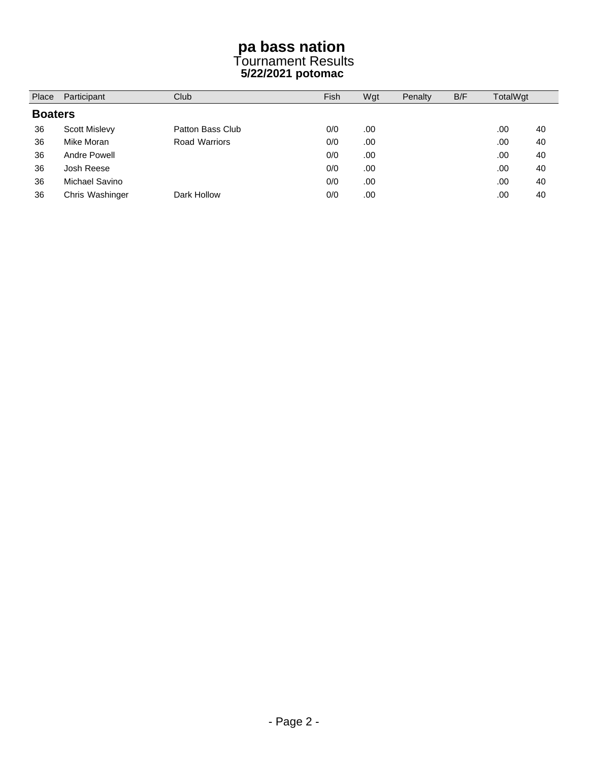## **pa bass nation**  Tournament Results **5/22/2021 potomac**

| Place          | Participant     | Club             |     | Wgt | Penalty | B/F | TotalWgt |    |
|----------------|-----------------|------------------|-----|-----|---------|-----|----------|----|
| <b>Boaters</b> |                 |                  |     |     |         |     |          |    |
| 36             | Scott Mislevy   | Patton Bass Club | 0/0 | .00 |         |     | .00      | 40 |
| 36             | Mike Moran      | Road Warriors    | 0/0 | .00 |         |     | .00      | 40 |
| 36             | Andre Powell    |                  | 0/0 | .00 |         |     | .00      | 40 |
| 36             | Josh Reese      |                  | 0/0 | .00 |         |     | .00      | 40 |
| 36             | Michael Savino  |                  | 0/0 | .00 |         |     | .00      | 40 |
| 36             | Chris Washinger | Dark Hollow      | 0/0 | .00 |         |     | .00      | 40 |